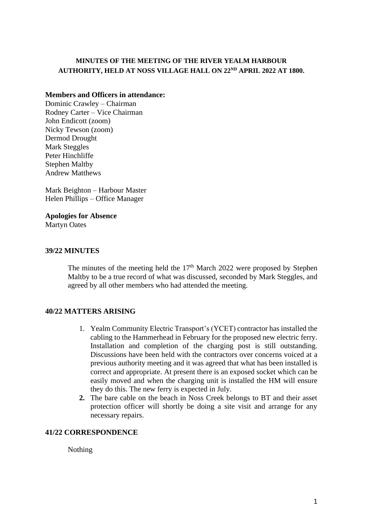# **MINUTES OF THE MEETING OF THE RIVER YEALM HARBOUR AUTHORITY, HELD AT NOSS VILLAGE HALL ON 22ND APRIL 2022 AT 1800.**

### **Members and Officers in attendance:**

Dominic Crawley – Chairman Rodney Carter – Vice Chairman John Endicott (zoom) Nicky Tewson (zoom) Dermod Drought Mark Steggles Peter Hinchliffe Stephen Maltby Andrew Matthews

Mark Beighton – Harbour Master Helen Phillips – Office Manager

**Apologies for Absence**

Martyn Oates

# **39/22 MINUTES**

The minutes of the meeting held the  $17<sup>th</sup>$  March 2022 were proposed by Stephen Maltby to be a true record of what was discussed, seconded by Mark Steggles, and agreed by all other members who had attended the meeting.

# **40/22 MATTERS ARISING**

- 1. Yealm Community Electric Transport's (YCET) contractor has installed the cabling to the Hammerhead in February for the proposed new electric ferry. Installation and completion of the charging post is still outstanding. Discussions have been held with the contractors over concerns voiced at a previous authority meeting and it was agreed that what has been installed is correct and appropriate. At present there is an exposed socket which can be easily moved and when the charging unit is installed the HM will ensure they do this. The new ferry is expected in July.
- **2.** The bare cable on the beach in Noss Creek belongs to BT and their asset protection officer will shortly be doing a site visit and arrange for any necessary repairs.

# **41/22 CORRESPONDENCE**

Nothing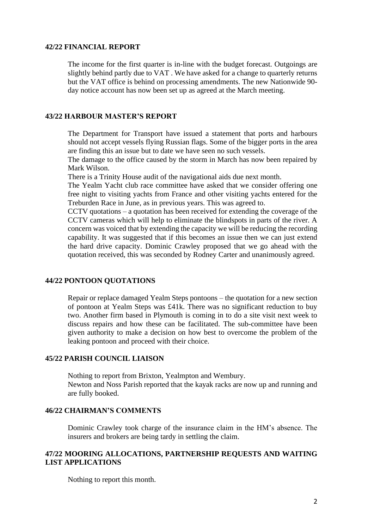### **42/22 FINANCIAL REPORT**

The income for the first quarter is in-line with the budget forecast. Outgoings are slightly behind partly due to VAT . We have asked for a change to quarterly returns but the VAT office is behind on processing amendments. The new Nationwide 90 day notice account has now been set up as agreed at the March meeting.

### **43/22 HARBOUR MASTER'S REPORT**

The Department for Transport have issued a statement that ports and harbours should not accept vessels flying Russian flags. Some of the bigger ports in the area are finding this an issue but to date we have seen no such vessels.

The damage to the office caused by the storm in March has now been repaired by Mark Wilson.

There is a Trinity House audit of the navigational aids due next month.

The Yealm Yacht club race committee have asked that we consider offering one free night to visiting yachts from France and other visiting yachts entered for the Treburden Race in June, as in previous years. This was agreed to.

CCTV quotations – a quotation has been received for extending the coverage of the CCTV cameras which will help to eliminate the blindspots in parts of the river. A concern was voiced that by extending the capacity we will be reducing the recording capability. It was suggested that if this becomes an issue then we can just extend the hard drive capacity. Dominic Crawley proposed that we go ahead with the quotation received, this was seconded by Rodney Carter and unanimously agreed.

# **44/22 PONTOON QUOTATIONS**

Repair or replace damaged Yealm Steps pontoons – the quotation for a new section of pontoon at Yealm Steps was £41k. There was no significant reduction to buy two. Another firm based in Plymouth is coming in to do a site visit next week to discuss repairs and how these can be facilitated. The sub-committee have been given authority to make a decision on how best to overcome the problem of the leaking pontoon and proceed with their choice.

#### **45/22 PARISH COUNCIL LIAISON**

Nothing to report from Brixton, Yealmpton and Wembury. Newton and Noss Parish reported that the kayak racks are now up and running and are fully booked.

### **46/22 CHAIRMAN'S COMMENTS**

Dominic Crawley took charge of the insurance claim in the HM's absence. The insurers and brokers are being tardy in settling the claim.

# **47/22 MOORING ALLOCATIONS, PARTNERSHIP REQUESTS AND WAITING LIST APPLICATIONS**

Nothing to report this month.